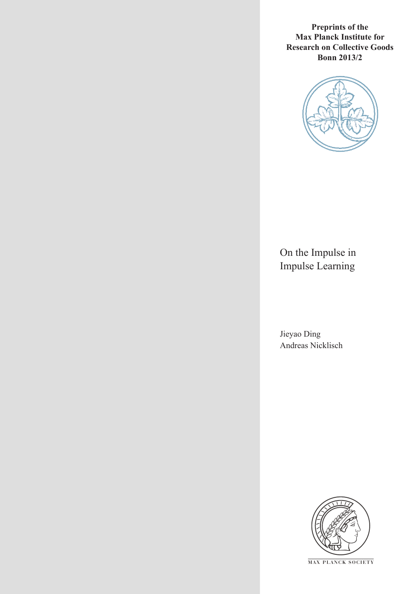**Preprints of the Max Planck Institute for Research on Collective Goods Bonn 2013/2**



On the Impulse in Impulse Learning

Jieyao Ding Andreas Nicklisch



**M AX PLANCK SOCIETY**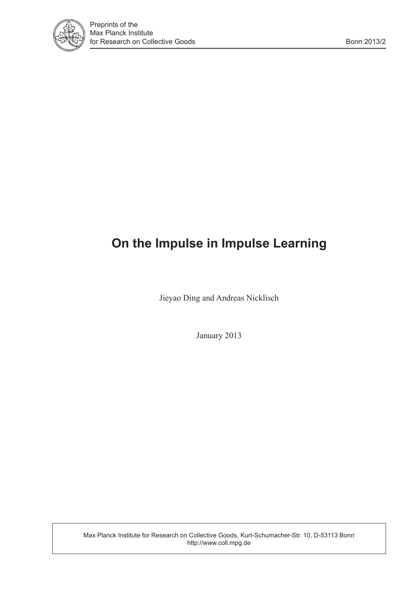

# **On the Impulse in Impulse Learning**

Jieyao Ding and Andreas Nicklisch

January 2013

Max Planck Institute for Research on Collective Goods, Kurt-Schumacher-Str. 10, D-53113 Bonn http://www.coll.mpg.de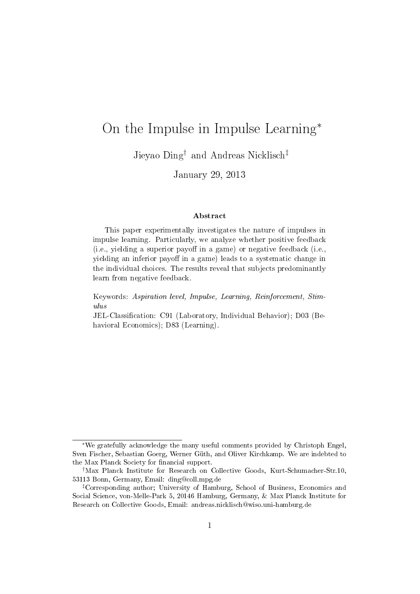# On the Impulse in Impulse Learning<sup>∗</sup>

Jieyao Ding† and Andreas Nicklisch‡

January 29, 2013

#### Abstract

This paper experimentally investigates the nature of impulses in impulse learning. Particularly, we analyze whether positive feedback  $(i.e., yielding a superior payoff in a game) or negative feedback (i.e.,$ yielding an inferior payoff in a game) leads to a systematic change in the individual choices. The results reveal that subjects predominantly learn from negative feedback.

Keywords: Aspiration level, Impulse, Learning, Reinforcement, Stimulus

JEL-Classification: C91 (Laboratory, Individual Behavior); D03 (Behavioral Economics); D83 (Learning).

<sup>∗</sup>We gratefully acknowledge the many useful comments provided by Christoph Engel, Sven Fischer, Sebastian Goerg, Werner Güth, and Oliver Kirchkamp. We are indebted to the Max Planck Society for financial support.

<sup>†</sup>Max Planck Institute for Research on Collective Goods, Kurt-Schumacher-Str.10, 53113 Bonn, Germany, Email: ding@coll.mpg.de

<sup>‡</sup>Corresponding author; University of Hamburg, School of Business, Economics and Social Science, von-Melle-Park 5, 20146 Hamburg, Germany, & Max Planck Institute for Research on Collective Goods, Email: andreas.nicklisch@wiso.uni-hamburg.de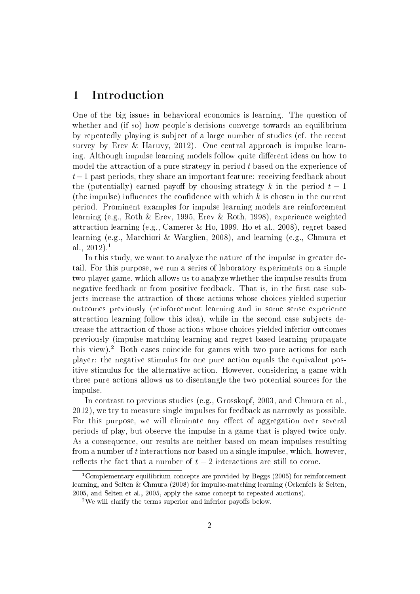### 1 Introduction

One of the big issues in behavioral economics is learning. The question of whether and (if so) how people's decisions converge towards an equilibrium by repeatedly playing is subject of a large number of studies (cf. the recent survey by Erev & Haruvy, 2012). One central approach is impulse learning. Although impulse learning models follow quite different ideas on how to model the attraction of a pure strategy in period t based on the experience of  $t-1$  past periods, they share an important feature: receiving feedback about the (potentially) earned payoff by choosing strategy k in the period  $t - 1$ (the impulse) influences the confidence with which  $k$  is chosen in the current period. Prominent examples for impulse learning models are reinforcement learning (e.g., Roth & Erev, 1995, Erev & Roth, 1998), experience weighted attraction learning (e.g., Camerer & Ho, 1999, Ho et al., 2008), regret-based learning (e.g., Marchiori & Warglien, 2008), and learning (e.g., Chmura et al.,  $2012$ ).<sup>1</sup>

In this study, we want to analyze the nature of the impulse in greater detail. For this purpose, we run a series of laboratory experiments on a simple two-player game, which allows us to analyze whether the impulse results from negative feedback or from positive feedback. That is, in the first case subjects increase the attraction of those actions whose choices yielded superior outcomes previously (reinforcement learning and in some sense experience attraction learning follow this idea), while in the second case subjects decrease the attraction of those actions whose choices yielded inferior outcomes previously (impulse matching learning and regret based learning propagate this view).<sup>2</sup> Both cases coincide for games with two pure actions for each player: the negative stimulus for one pure action equals the equivalent positive stimulus for the alternative action. However, considering a game with three pure actions allows us to disentangle the two potential sources for the impulse.

In contrast to previous studies (e.g., Grosskopf, 2003, and Chmura et al., 2012), we try to measure single impulses for feedback as narrowly as possible. For this purpose, we will eliminate any effect of aggregation over several periods of play, but observe the impulse in a game that is played twice only. As a consequence, our results are neither based on mean impulses resulting from a number of t interactions nor based on a single impulse, which, however, reflects the fact that a number of  $t - 2$  interactions are still to come.

<sup>&</sup>lt;sup>1</sup>Complementary equilibrium concepts are provided by Beggs (2005) for reinforcement learning, and Selten & Chmura (2008) for impulse-matching learning (Ockenfels & Selten, 2005, and Selten et al., 2005, apply the same concept to repeated auctions).

 $2$ We will clarify the terms superior and inferior payoffs below.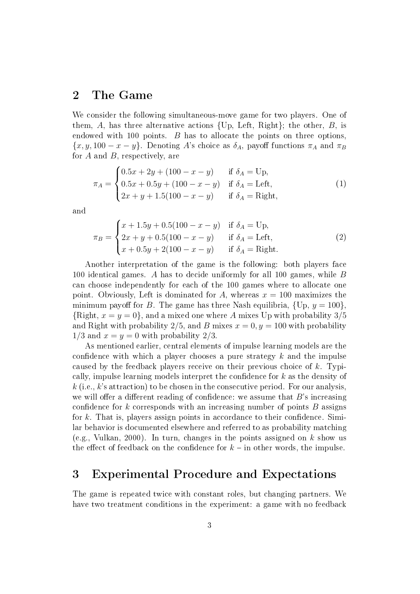### 2 The Game

We consider the following simultaneous-move game for two players. One of them, A, has three alternative actions  $\{Up, \; Left, \; Right\};\; the \; other, \; B, \; is$ endowed with 100 points. B has to allocate the points on three options,  $\{x, y, 100 - x - y\}$ . Denoting A's choice as  $\delta_A$ , payoff functions  $\pi_A$  and  $\pi_B$ for A and B, respectively, are

$$
\pi_A = \begin{cases}\n0.5x + 2y + (100 - x - y) & \text{if } \delta_A = \text{Up}, \\
0.5x + 0.5y + (100 - x - y) & \text{if } \delta_A = \text{Left}, \\
2x + y + 1.5(100 - x - y) & \text{if } \delta_A = \text{Right},\n\end{cases}
$$
\n(1)

and

$$
\pi_B = \begin{cases}\nx + 1.5y + 0.5(100 - x - y) & \text{if } \delta_A = \text{Up}, \\
2x + y + 0.5(100 - x - y) & \text{if } \delta_A = \text{Left}, \\
x + 0.5y + 2(100 - x - y) & \text{if } \delta_A = \text{Right}.\n\end{cases}
$$
\n(2)

Another interpretation of the game is the following: both players face 100 identical games. A has to decide uniformly for all 100 games, while B can choose independently for each of the 100 games where to allocate one point. Obviously, Left is dominated for A, whereas  $x = 100$  maximizes the minimum payoff for B. The game has three Nash equilibria,  $\{Up, y = 100\}$ .  ${Right, x = y = 0}$ , and a mixed one where A mixes Up with probability 3/5 and Right with probability 2/5, and B mixes  $x = 0, y = 100$  with probability  $1/3$  and  $x = y = 0$  with probability  $2/3$ .

As mentioned earlier, central elements of impulse learning models are the confidence with which a player chooses a pure strategy  $k$  and the impulse caused by the feedback players receive on their previous choice of k. Typically, impulse learning models interpret the confidence for  $k$  as the density of  $k$  (i.e., k's attraction) to be chosen in the consecutive period. For our analysis, we will offer a different reading of confidence: we assume that  $B$ 's increasing confidence for k corresponds with an increasing number of points  $B$  assigns for k. That is, players assign points in accordance to their confidence. Similar behavior is documented elsewhere and referred to as probability matching (e.g., Vulkan, 2000). In turn, changes in the points assigned on k show us the effect of feedback on the confidence for  $k - i$  in other words, the impulse.

### 3 Experimental Procedure and Expectations

The game is repeated twice with constant roles, but changing partners. We have two treatment conditions in the experiment: a game with no feedback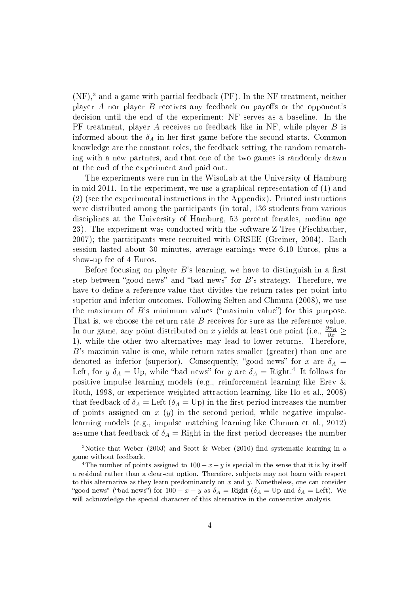$(NF)$ ,<sup>3</sup> and a game with partial feedback  $(PF)$ . In the NF treatment, neither player A nor player B receives any feedback on payoffs or the opponent's decision until the end of the experiment; NF serves as a baseline. In the PF treatment, player A receives no feedback like in NF, while player B is informed about the  $\delta_A$  in her first game before the second starts. Common knowledge are the constant roles, the feedback setting, the random rematching with a new partners, and that one of the two games is randomly drawn at the end of the experiment and paid out.

The experiments were run in the WisoLab at the University of Hamburg in mid 2011. In the experiment, we use a graphical representation of (1) and (2) (see the experimental instructions in the Appendix). Printed instructions were distributed among the participants (in total, 136 students from various disciplines at the University of Hamburg, 53 percent females, median age 23). The experiment was conducted with the software Z-Tree (Fischbacher, 2007); the participants were recruited with ORSEE (Greiner, 2004). Each session lasted about 30 minutes, average earnings were 6.10 Euros, plus a show-up fee of 4 Euros.

Before focusing on player  $B$ 's learning, we have to distinguish in a first step between "good news" and "bad news" for  $B$ 's strategy. Therefore, we have to define a reference value that divides the return rates per point into superior and inferior outcomes. Following Selten and Chmura (2008), we use the maximum of  $B$ 's minimum values ("maximin value") for this purpose. That is, we choose the return rate B receives for sure as the reference value. In our game, any point distributed on x yields at least one point (i.e.,  $\frac{\partial \pi_B}{\partial x} \geq$ 1), while the other two alternatives may lead to lower returns. Therefore, B's maximin value is one, while return rates smaller (greater) than one are denoted as inferior (superior). Consequently, "good news" for x are  $\delta_A$  = Left, for y  $\delta_A =$  Up, while "bad news" for y are  $\delta_A =$  Right.<sup>4</sup> It follows for positive impulse learning models (e.g., reinforcement learning like Erev & Roth, 1998, or experience weighted attraction learning, like Ho et al., 2008) that feedback of  $\delta_A =$  Left  $(\delta_A =$  Up) in the first period increases the number of points assigned on  $x(y)$  in the second period, while negative impulselearning models (e.g., impulse matching learning like Chmura et al., 2012) assume that feedback of  $\delta_A =$  Right in the first period decreases the number

<sup>&</sup>lt;sup>3</sup>Notice that Weber (2003) and Scott & Weber (2010) find systematic learning in a game without feedback.

<sup>&</sup>lt;sup>4</sup>The number of points assigned to  $100 - x - y$  is special in the sense that it is by itself a residual rather than a clear-cut option. Therefore, subjects may not learn with respect to this alternative as they learn predominantly on  $x$  and  $y$ . Nonetheless, one can consider "good news" ("bad news") for  $100 - x - y$  as  $\delta_A =$ Right ( $\delta_A =$ Up and  $\delta_A =$ Left). We will acknowledge the special character of this alternative in the consecutive analysis.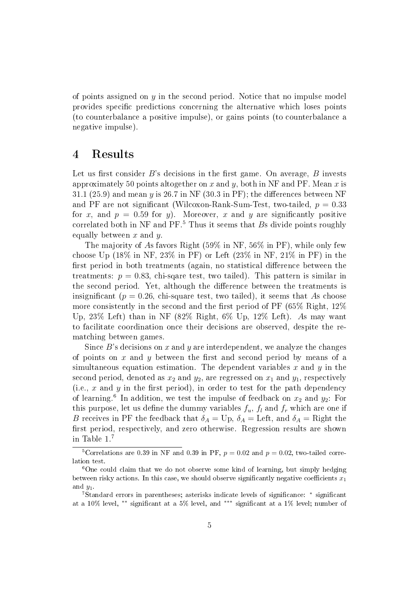of points assigned on  $\gamma$  in the second period. Notice that no impulse model provides specific predictions concerning the alternative which loses points (to counterbalance a positive impulse), or gains points (to counterbalance a negative impulse).

### 4 Results

Let us first consider  $B$ 's decisions in the first game. On average,  $B$  invests approximately 50 points altogether on x and y, both in NF and PF. Mean x is 31.1 (25.9) and mean y is 26.7 in NF (30.3 in PF); the differences between NF and PF are not significant (Wilcoxon-Rank-Sum-Test, two-tailed,  $p = 0.33$ ) for x, and  $p = 0.59$  for y). Moreover, x and y are significantly positive correlated both in NF and  $PF<sup>5</sup>$ . Thus it seems that Bs divide points roughly equally between  $x$  and  $y$ .

The majority of As favors Right (59% in NF, 56% in PF), while only few choose Up  $(18\%$  in NF,  $23\%$  in PF) or Left  $(23\%$  in NF,  $21\%$  in PF) in the first period in both treatments (again, no statistical difference between the treatments:  $p = 0.83$ , chi-sqare test, two tailed). This pattern is similar in the second period. Yet, although the difference between the treatments is insignificant ( $p = 0.26$ , chi-square test, two tailed), it seems that As choose more consistently in the second and the first period of  $PF$  (65% Right, 12%) Up, 23% Left) than in NF (82% Right, 6% Up, 12% Left). As may want to facilitate coordination once their decisions are observed, despite the rematching between games.

Since  $B$ 's decisions on x and y are interdependent, we analyze the changes of points on  $x$  and  $y$  between the first and second period by means of a simultaneous equation estimation. The dependent variables  $x$  and  $y$  in the second period, denoted as  $x_2$  and  $y_2$ , are regressed on  $x_1$  and  $y_1$ , respectively (i.e.,  $x$  and  $y$  in the first period), in order to test for the path dependency of learning.<sup>6</sup> In addition, we test the impulse of feedback on  $x_2$  and  $y_2$ : For this purpose, let us define the dummy variables  $f_u$ ,  $f_l$  and  $f_r$  which are one if B receives in PF the feedback that  $\delta_A = \text{Up}, \delta_A = \text{Left}, \text{ and } \delta_A = \text{Right}$  the first period, respectively, and zero otherwise. Regression results are shown in Table 1.<sup>7</sup>

<sup>&</sup>lt;sup>5</sup>Correlations are 0.39 in NF and 0.39 in PF,  $p = 0.02$  and  $p = 0.02$ , two-tailed correlation test.

 $6$ One could claim that we do not observe some kind of learning, but simply hedging between risky actions. In this case, we should observe significantly negative coefficients  $x_1$ and  $y_1$ .

<sup>&</sup>lt;sup>7</sup>Standard errors in parentheses; asterisks indicate levels of significance: \* significant at a 10% level, ∗∗ signicant at a 5% level, and ∗∗∗ signicant at a 1% level; number of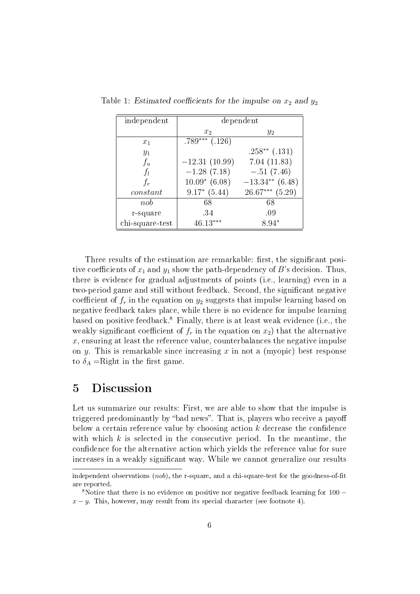| independent     | dependent          |                     |
|-----------------|--------------------|---------------------|
|                 | $x_2$              | $y_2$               |
| $x_1$           | $.789***$ $(.126)$ |                     |
| $y_1$           |                    | $.258***$ $(.131)$  |
| $f_u$           | $-12.31(10.99)$    | 7.04(11.83)         |
| $f_l$           | $-1.28(7.18)$      | $-.51(7.46)$        |
| $f_r$           | $10.09* (6.08)$    | $-13.34**$ (6.48)   |
| constant        | $9.17*(5.44)$      | $26.67***$ $(5.29)$ |
| nob             | 68                 | 68                  |
| r-square        | .34                | .09                 |
| chi-square-test | $46.13***$         | $8.94*$             |

Table 1: Estimated coefficients for the impulse on  $x_2$  and  $y_2$ 

Three results of the estimation are remarkable: first, the significant positive coefficients of  $x_1$  and  $y_1$  show the path-dependency of B's decision. Thus, there is evidence for gradual adjustments of points (i.e., learning) even in a two-period game and still without feedback. Second, the significant negative coefficient of  $f_r$  in the equation on  $y_2$  suggests that impulse learning based on negative feedback takes place, while there is no evidence for impulse learning based on positive feedback.<sup>8</sup> Finally, there is at least weak evidence (i.e., the weakly significant coefficient of  $f_r$  in the equation on  $x_2$ ) that the alternative  $x$ , ensuring at least the reference value, counterbalances the negative impulse on y. This is remarkable since increasing x in not a (myopic) best response to  $\delta_A =$ Right in the first game.

### 5 Discussion

Let us summarize our results: First, we are able to show that the impulse is triggered predominantly by "bad news". That is, players who receive a payoff below a certain reference value by choosing action  $k$  decrease the confidence with which  $k$  is selected in the consecutive period. In the meantime, the confidence for the alternative action which yields the reference value for sure increases in a weakly signicant way. While we cannot generalize our results

independent observations  $(nob)$ , the r-square, and a chi-square-test for the goodness-of-fit are reported.

<sup>8</sup>Notice that there is no evidence on positive nor negative feedback learning for 100 −  $x - y$ . This, however, may result from its special character (see footnote 4).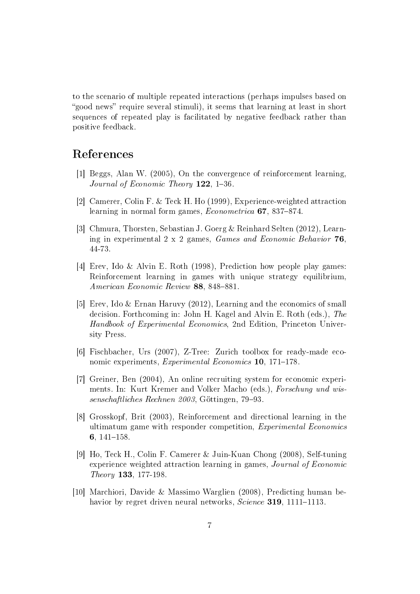to the scenario of multiple repeated interactions (perhaps impulses based on "good news" require several stimuli), it seems that learning at least in short sequences of repeated play is facilitated by negative feedback rather than positive feedback.

### References

- [1] Beggs, Alan W. (2005), On the convergence of reinforcement learning, Journal of Economic Theory  $122$ , 1-36.
- [2] Camerer, Colin F. & Teck H. Ho (1999), Experience-weighted attraction learning in normal form games,  $Econometrica$  67, 837-874.
- [3] Chmura, Thorsten, Sebastian J. Goerg & Reinhard Selten (2012), Learning in experimental 2 x 2 games, Games and Economic Behavior 76, 44-73.
- [4] Erev, Ido & Alvin E. Roth (1998), Prediction how people play games: Reinforcement learning in games with unique strategy equilibrium, American Economic Review 88, 848-881.
- [5] Erev, Ido & Ernan Haruvy (2012), Learning and the economics of small decision. Forthcoming in: John H. Kagel and Alvin E. Roth (eds.), The Handbook of Experimental Economics, 2nd Edition, Princeton University Press.
- [6] Fischbacher, Urs (2007), Z-Tree: Zurich toolbox for ready-made economic experiments,  $Experimental Economics$  10, 171–178.
- [7] Greiner, Ben (2004), An online recruiting system for economic experiments. In: Kurt Kremer and Volker Macho (eds.), Forschung und wis $senschaftliches Rechnen 2003$ , Göttingen, 79–93.
- [8] Grosskopf, Brit (2003), Reinforcement and directional learning in the ultimatum game with responder competition, Experimental Economics 6,  $141-158$ .
- [9] Ho, Teck H., Colin F. Camerer & Juin-Kuan Chong (2008), Self-tuning experience weighted attraction learning in games, Journal of Economic Theory 133, 177-198.
- [10] Marchiori, Davide & Massimo Warglien (2008), Predicting human behavior by regret driven neural networks,  $Science$  319, 1111-1113.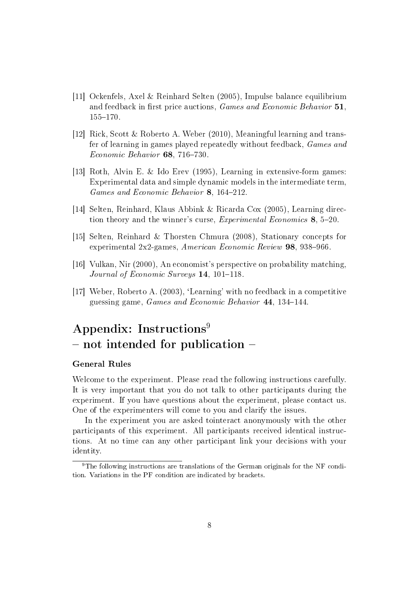- [11] Ockenfels, Axel & Reinhard Selten (2005), Impulse balance equilibrium and feedback in first price auctions, *Games and Economic Behavior*  $51$ . 155170.
- [12] Rick, Scott & Roberto A. Weber (2010), Meaningful learning and transfer of learning in games played repeatedly without feedback, Games and  $Economic Behavior$  68, 716-730.
- [13] Roth, Alvin E. & Ido Erev (1995), Learning in extensive-form games: Experimental data and simple dynamic models in the intermediate term, Games and Economic Behavior 8, 164-212.
- [14] Selten, Reinhard, Klaus Abbink & Ricarda Cox (2005), Learning direction theory and the winner's curse, *Experimental Economics* 8,  $5-20$ .
- [15] Selten, Reinhard & Thorsten Chmura (2008), Stationary concepts for experimental  $2x2$ -games, American Economic Review 98, 938–966.
- [16] Vulkan, Nir (2000), An economist's perspective on probability matching, Journal of Economic Surveys  $14$ , 101-118.
- [17] Weber, Roberto A. (2003), 'Learning' with no feedback in a competitive guessing game, *Games and Economic Behavior* 44, 134–144.

# Appendix: Instructions<sup>9</sup>  $-$  not intended for publication  $-$

#### General Rules

Welcome to the experiment. Please read the following instructions carefully. It is very important that you do not talk to other participants during the experiment. If you have questions about the experiment, please contact us. One of the experimenters will come to you and clarify the issues.

In the experiment you are asked tointeract anonymously with the other participants of this experiment. All participants received identical instructions. At no time can any other participant link your decisions with your identity.

<sup>9</sup>The following instructions are translations of the German originals for the NF condition. Variations in the PF condition are indicated by brackets.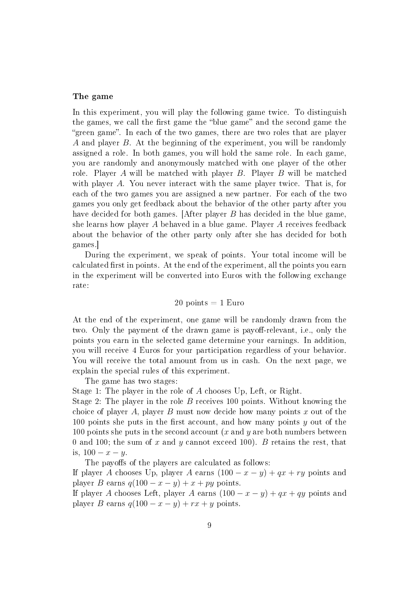#### The game

In this experiment, you will play the following game twice. To distinguish the games, we call the first game the "blue game" and the second game the "green game". In each of the two games, there are two roles that are player A and player B. At the beginning of the experiment, you will be randomly assigned a role. In both games, you will hold the same role. In each game, you are randomly and anonymously matched with one player of the other role. Player A will be matched with player B. Player B will be matched with player A. You never interact with the same player twice. That is, for each of the two games you are assigned a new partner. For each of the two games you only get feedback about the behavior of the other party after you have decided for both games. [After player B has decided in the blue game, she learns how player A behaved in a blue game. Player A receives feedback about the behavior of the other party only after she has decided for both games.]

During the experiment, we speak of points. Your total income will be calculated first in points. At the end of the experiment, all the points you earn in the experiment will be converted into Euros with the following exchange rate:

#### $20$  points  $= 1$  Euro

At the end of the experiment, one game will be randomly drawn from the two. Only the payment of the drawn game is payoff-relevant, i.e., only the points you earn in the selected game determine your earnings. In addition, you will receive 4 Euros for your participation regardless of your behavior. You will receive the total amount from us in cash. On the next page, we explain the special rules of this experiment.

The game has two stages:

Stage 1: The player in the role of A chooses Up, Left, or Right.

Stage 2: The player in the role B receives 100 points. Without knowing the choice of player  $A$ , player  $B$  must now decide how many points  $x$  out of the 100 points she puts in the first account, and how many points  $y$  out of the 100 points she puts in the second account  $(x \text{ and } y \text{ are both numbers between})$ 0 and 100; the sum of x and y cannot exceed 100). B retains the rest, that is,  $100 - x - y$ .

The payoffs of the players are calculated as follows:

If player A chooses Up, player A earns  $(100 - x - y) + qx + ry$  points and player B earns  $q(100 - x - y) + x + py$  points.

If player A chooses Left, player A earns  $(100 - x - y) + qx + qy$  points and player B earns  $q(100 - x - y) + rx + y$  points.